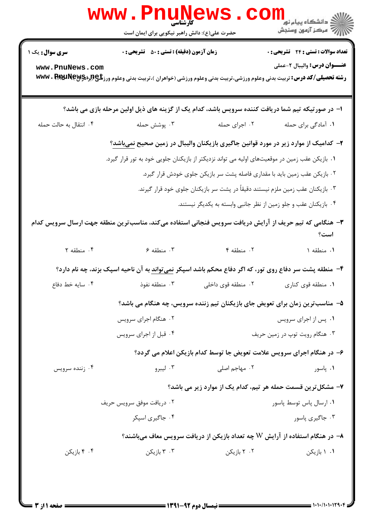|                                                                                                                | www.PnuNews.                                                                                                                                    |                                                                  |                                                                                              |  |  |  |
|----------------------------------------------------------------------------------------------------------------|-------------------------------------------------------------------------------------------------------------------------------------------------|------------------------------------------------------------------|----------------------------------------------------------------------------------------------|--|--|--|
|                                                                                                                | حضرت علی(ع): دانش راهبر نیکویی برای ایمان است                                                                                                   |                                                                  |                                                                                              |  |  |  |
| <b>سری سوال :</b> یک ۱                                                                                         | <b>زمان آزمون (دقیقه) : تستی : 50 ٪ تشریحی : 0</b>                                                                                              |                                                                  | <b>تعداد سوالات : تستی : 24 - تشریحی : 0</b>                                                 |  |  |  |
| www.PnuNews.com                                                                                                | <b>رشته تحصیلی/کد درس:</b> تربیت بدنی وعلوم ورزشی،تربیت بدنی وعلوم ورزشی (خواهران )،تربیت بدنی وعلوم ورز <b>تلچ(برادMARAN) WWW . RARAN R</b> ey |                                                                  | <b>عنـــوان درس:</b> واليبال ٢-عملي                                                          |  |  |  |
|                                                                                                                | ا– در صورتیکه تیم شما دریافت کننده سرویس باشد، کدام یک از گزینه های ذیل اولین مرحله بازی می باشد؟                                               |                                                                  |                                                                                              |  |  |  |
| ۰۴ انتقال به حالت حمله                                                                                         | ۰۳ پوشش حمله                                                                                                                                    | ۰۲ اجرای حمله                                                    | ۰۱ آمادگی برای حمله                                                                          |  |  |  |
|                                                                                                                |                                                                                                                                                 |                                                                  | ۲–  کدامیک از موارد زیر در مورد قوانین جاگیری بازیکنان والیبال در زمین صحیح <u>نمیباشد</u> ؟ |  |  |  |
| ۰۱ بازیکن عقب زمین در موقعیتهای اولیه می تواند نزدیکتر از بازیکنان جلویی خود به تور قرار گیرد.                 |                                                                                                                                                 |                                                                  |                                                                                              |  |  |  |
| ۰۲ بازیکن عقب زمین باید با مقداری فاصله پشت سر بازیکن جلوی خودش قرار گیرد.                                     |                                                                                                                                                 |                                                                  |                                                                                              |  |  |  |
| ۰۳ بازیکنان عقب زمین ملزم نیستند دقیقاً در پشت سر بازیکنان جلوی خود قرار گیرند.                                |                                                                                                                                                 |                                                                  |                                                                                              |  |  |  |
|                                                                                                                |                                                                                                                                                 | ۰۴ بازیکنان عقب و جلو زمین از نظر جانبی وابسته به یکدیگر نیستند. |                                                                                              |  |  |  |
|                                                                                                                | ۳- هنگامی که تیم حریف از آرایش دریافت سرویس فنجانی استفاده میکند، مناسبترین منطقه جهت ارسال سرویس کدام                                          |                                                                  | است؟                                                                                         |  |  |  |
| ۰۴ منطقه ۲                                                                                                     | ۰۳ منطقه ۶                                                                                                                                      | ٢. منطقه ۴                                                       | ١. منطقه ١                                                                                   |  |  |  |
| ۴- منطقه پشت سر دفاع روی تور، که اگر دفاع محکم باشد اسپکر <u>نمی تواند</u> به آن ناحیه اسپک بزند، چه نام دارد؟ |                                                                                                                                                 |                                                                  |                                                                                              |  |  |  |
| ۰۴ سایه خط دفاع                                                                                                | ۰۳ منطقه نفوذ                                                                                                                                   | ۰۲ منطقه قوی داخلی                                               | ۰۱ منطقه قوی کناری                                                                           |  |  |  |
|                                                                                                                |                                                                                                                                                 |                                                                  | ۵- مناسب ترین زمان برای تعویض جای بازیکنان تیم زننده سرویس، چه هنگام می باشد؟                |  |  |  |
|                                                                                                                | ۰۲ هنگام اجرای سرویس                                                                                                                            |                                                                  | ۰۱ پس از اجرای سرویس                                                                         |  |  |  |
|                                                                                                                | ۰۴ قبل از اجرای سرویس                                                                                                                           |                                                                  | ۰۳ هنگام رویت توپ در زمین حریف                                                               |  |  |  |
|                                                                                                                |                                                                                                                                                 |                                                                  | ۶– در هنگام اجرای سرویس علامت تعویض جا توسط کدام بازیکن اعلام می گردد؟                       |  |  |  |
| ۰۴ زننده سرويس                                                                                                 | ۰۳ لیبرو                                                                                                                                        | ۰۲ مهاجم اصل <i>ی</i>                                            | ۰۱. پاسور                                                                                    |  |  |  |
|                                                                                                                |                                                                                                                                                 |                                                                  |                                                                                              |  |  |  |
|                                                                                                                | ۷– مشکل ترین قسمت حمله هر تیم، کدام یک از موارد زیر می باشد؟<br>٠١ ارسال پاس توسط پاسور<br>۰۲ دریافت موفق سرویس حریف                            |                                                                  |                                                                                              |  |  |  |
|                                                                                                                | ۰۴ جاگیری اسیکر                                                                                                                                 |                                                                  | ۰۳ جاگیری پاسور                                                                              |  |  |  |
|                                                                                                                |                                                                                                                                                 |                                                                  |                                                                                              |  |  |  |
|                                                                                                                |                                                                                                                                                 |                                                                  | ۸− در هنگام استفاده از آرایش W چه تعداد بازیکن از دریافت سرویس معاف میباشند؟                 |  |  |  |
| ۰۴ بازیکن                                                                                                      | ۰۳ بازیکن                                                                                                                                       | ۰۲ بازیکن                                                        | ۰۱ ۱ بازیکن                                                                                  |  |  |  |
|                                                                                                                |                                                                                                                                                 |                                                                  |                                                                                              |  |  |  |
|                                                                                                                |                                                                                                                                                 |                                                                  |                                                                                              |  |  |  |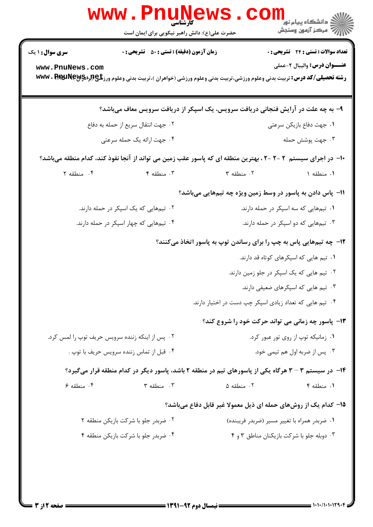|                                                          | کارشناسی<br>حضرت علی(ع): دانش راهبر نیکویی برای ایمان است |                                                                                                                                              | <mark>ک</mark> دانشگاه پیام نو <mark>ر</mark><br>ر آمرڪز آزمون وسنڊش |  |
|----------------------------------------------------------|-----------------------------------------------------------|----------------------------------------------------------------------------------------------------------------------------------------------|----------------------------------------------------------------------|--|
| <b>سری سوال :</b> ۱ یک                                   | <b>زمان آزمون (دقیقه) : تستی : 50 ٪ تشریحی : 0</b>        |                                                                                                                                              | <b>تعداد سوالات : تستي : 24 - تشريحي : 0</b>                         |  |
| www.PnuNews.com                                          |                                                           | <b>رشته تحصیلی/کد درس:</b> تربیت بدنی وعلوم ورزشی،تربیت بدنی وعلوم ورزشی (خواهران )،تربیت بدنی وعلوم ورز <b>تلچ(برادMARAN) WWW . RARJINE</b> | <b>عنـــوان درس:</b> واليبال ٢-عملي                                  |  |
|                                                          |                                                           | ۹- به چه علت در آرایش فنجانی دریافت سرویس، یک اسپکر از دریافت سرویس معاف میباشد؟                                                             |                                                                      |  |
| ۰۲ جهت انتقال سریع از حمله به دفاع                       |                                                           |                                                                                                                                              | ٠١. جهت دفاع بازيكن سرعتي                                            |  |
| ۰۴ جهت ارائه یک حمله سرعتی                               |                                                           | ۰۳ جهت پوشش حمله                                                                                                                             |                                                                      |  |
|                                                          |                                                           | ∙ا− در اجرای سیستم ۲−۲−۲، بهترین منطقه ای که پاسور عقب زمین می تواند از آنجا نفوذ کند، کدام منطقه میباشد؟                                    |                                                                      |  |
| ۰۴ منطقه ۲                                               | ۰۳ منطقه ۴                                                | ٠٢ منطقه ٣                                                                                                                                   | ۰۱ منطقه ۱                                                           |  |
|                                                          |                                                           | 11- پاس دادن به پاسور در وسط زمین ویژه چه تیمهایی میباشد؟                                                                                    |                                                                      |  |
|                                                          | ۰۲ تیمهایی که یک اسپکر در حمله دارند.                     | ۰۱ تیمهایی که سه اسپکر در حمله دارند.                                                                                                        |                                                                      |  |
|                                                          | ۰۴ تیمهایی که چهار اسپکر در حمله دارند.                   | ۰۳ تیمهایی که دو اسپکر در حمله دارند.                                                                                                        |                                                                      |  |
|                                                          |                                                           | <b>۱۲</b> - چه تیمهایی پاس به چپ را برای رساندن توپ به پاسور اتخاذ میکنند؟                                                                   |                                                                      |  |
|                                                          |                                                           |                                                                                                                                              | ۰۱ تیم هایی که اسپکرهای کوتاه قد دارند.                              |  |
|                                                          |                                                           |                                                                                                                                              | ۰۲ تیم هایی که یک اسپکر در جلو زمین دارند.                           |  |
|                                                          |                                                           |                                                                                                                                              | ۰۳ تیم هایی که اسپکرهای ضعیفی دارند.                                 |  |
| ۰۴ تیم هایی که تعداد زیادی اسپکر چپ دست در اختیار دارند. |                                                           |                                                                                                                                              |                                                                      |  |
|                                                          |                                                           | <b>۱۳</b> - پاسور چه زمانی می تواند حرکت خود را شروع کند؟                                                                                    |                                                                      |  |
| ۰۲ پس از اینکه زننده سرویس حریف توپ را لمس کرد.          |                                                           | ۰۱ زمانیکه توپ از روی تور عبور کرد.                                                                                                          |                                                                      |  |
| ۰۴ قبل از تماس زننده سرويس حريف با توپ .                 |                                                           | ۰۳ پس از ضربه اول هم تیمی خود.                                                                                                               |                                                                      |  |
|                                                          |                                                           | ۱۴- در سیستم ۳- ۳ هرگاه یکی از پاسورهای تیم در منطقه ۲ باشد، پاسور دیگر در کدام منطقه قرار میگیرد؟                                           |                                                                      |  |
| ۰۴ منطقه ۶                                               | $\mathbf{r}$ منطقه ٣ $\cdot$                              | ۰۲ منطقه ۵                                                                                                                                   | ۰۱ منطقه ۴                                                           |  |
|                                                          |                                                           | ۱۵– کدام یک از روشهای حمله ای ذیل معمولا غیر قابل دفاع میباشد؟                                                                               |                                                                      |  |
| ۰۲ ضربدر جلو با شرکت بازیکن منطقه ۲                      |                                                           |                                                                                                                                              | ۰۱ ضربدر همراه با تغییر مسیر (ضربدر فریبنده)                         |  |
| ۰۴ ضربدر جلو با شرکت بازیکن منطقه ۴                      |                                                           | ۰۳ دوبله جلو با شرکت بازیکنان مناطق ۳ و ۴                                                                                                    |                                                                      |  |
|                                                          |                                                           |                                                                                                                                              |                                                                      |  |
|                                                          |                                                           |                                                                                                                                              |                                                                      |  |